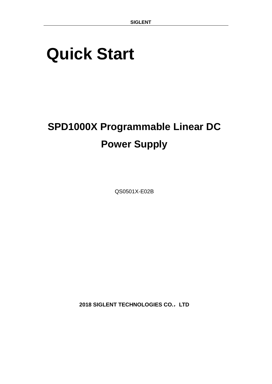# <span id="page-0-0"></span>**Quick Start**

# **SPD1000X Programmable Linear DC Power Supply**

QS0501X-E02B

**2018 SIGLENT TECHNOLOGIES CO.**,**LTD**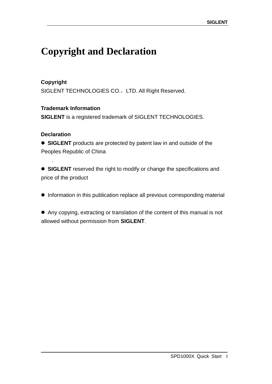# <span id="page-2-0"></span>**Copyright and Declaration**

#### **Copyright**

SIGLENT TECHNOLOGIES CO., LTD. All Right Reserved.

#### **Trademark Information**

**SIGLENT** is a registered trademark of SIGLENT TECHNOLOGIES.

#### **Declaration**

.

 **SIGLENT** products are protected by patent law in and outside of the Peoples Republic of China

**SIGLENT** reserved the right to modify or change the specifications and price of the product

 $\bullet$  Information in this publication replace all previous corresponding material

 Any copying, extracting or translation of the content of this manual is not allowed without permission from **SIGLENT**.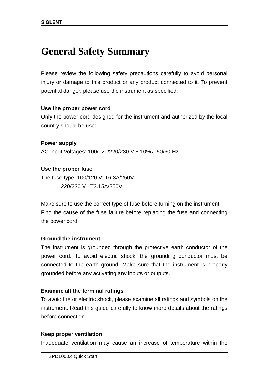# <span id="page-3-0"></span>**General Safety Summary**

Please review the following safety precautions carefully to avoid personal injury or damage to this product or any product connected to it. To prevent potential danger, please use the instrument as specified.

#### **Use the proper power cord**

Only the power cord designed for the instrument and authorized by the local country should be used.

**Power supply** AC Input Voltages: 100/120/220/230 V ± 10%, 50/60 Hz

**Use the proper fuse** The fuse type: 100/120 V: T6.3A/250V 220/230 V : T3.15A/250V

Make sure to use the correct type of fuse before turning on the instrument. Find the cause of the fuse failure before replacing the fuse and connecting the power cord.

#### **Ground the instrument**

The instrument is grounded through the protective earth conductor of the power cord. To avoid electric shock, the grounding conductor must be connected to the earth ground. Make sure that the instrument is properly grounded before any activating any inputs or outputs.

#### **Examine all the terminal ratings**

To avoid fire or electric shock, please examine all ratings and symbols on the instrument. Read this guide carefully to know more details about the ratings before connection.

#### **Keep proper ventilation**

Inadequate ventilation may cause an increase of temperature within the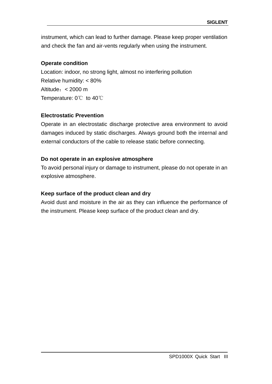instrument, which can lead to further damage. Please keep proper ventilation and check the fan and air-vents regularly when using the instrument.

#### **Operate condition**

Location: indoor, no strong light, almost no interfering pollution Relative humidity: < 80% Altitude:< 2000 m Temperature: 0℃ to 40℃

#### **Electrostatic Prevention**

Operate in an electrostatic discharge protective area environment to avoid damages induced by static discharges. Always ground both the internal and external conductors of the cable to release static before connecting.

#### **Do not operate in an explosive atmosphere**

To avoid personal injury or damage to instrument, please do not operate in an explosive atmosphere.

#### **Keep surface of the product clean and dry**

Avoid dust and moisture in the air as they can influence the performance of the instrument. Please keep surface of the product clean and dry.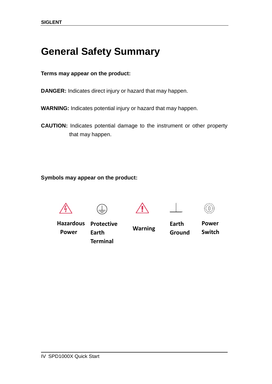# <span id="page-5-0"></span>**General Safety Summary**

#### **Terms may appear on the product:**

**DANGER:** Indicates direct injury or hazard that may happen.

**WARNING:** Indicates potential injury or hazard that may happen.

**CAUTION:** Indicates potential damage to the instrument or other property that may happen.

**Symbols may appear on the product:**



**Warning**

Hazardous **Hazardous Power Protective** 

**Earth Terminal** **Earth Ground** **Power** 

 $\bigcap$ 

**Switch**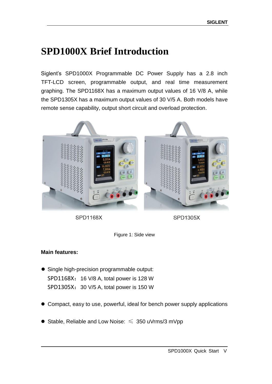## <span id="page-6-0"></span>**SPD1000X Brief Introduction**

Siglent's SPD1000X Programmable DC Power Supply has a 2.8 inch TFT-LCD screen, programmable output, and real time measurement graphing. The SPD1168X has a maximum output values of 16 V/8 A, while the SPD1305X has a maximum output values of 30 V/5 A. Both models have remote sense capability, output short circuit and overload protection.



**SPD1168X** 

**SPD1305X** 

Figure 1: Side view

#### **Main features:**

- Single high-precision programmable output: SPD1168X: 16 V/8 A, total power is 128 W SPD1305X: 30 V/5 A, total power is 150 W
- Compact, easy to use, powerful, ideal for bench power supply applications
- Stable, Reliable and Low Noise:  $\leq 350$  uVrms/3 mVpp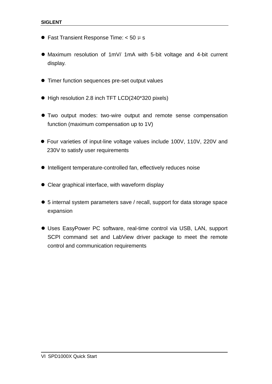- **•** Fast Transient Response Time:  $<$  50  $\mu$  s
- Maximum resolution of 1mV/ 1mA with 5-bit voltage and 4-bit current display.
- Timer function sequences pre-set output values
- High resolution 2.8 inch TFT LCD(240\*320 pixels)
- Two output modes: two-wire output and remote sense compensation function (maximum compensation up to 1V)
- Four varieties of input-line voltage values include 100V, 110V, 220V and 230V to satisfy user requirements
- $\bullet$  Intelligent temperature-controlled fan, effectively reduces noise
- Clear graphical interface, with waveform display
- 5 internal system parameters save / recall, support for data storage space expansion
- Uses EasyPower PC software, real-time control via USB, LAN, support SCPI command set and LabView driver package to meet the remote control and communication requirements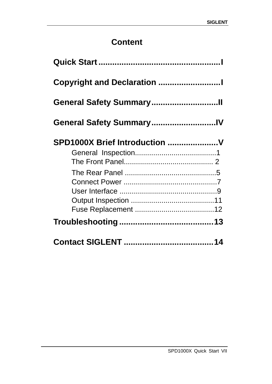## **Content**

| General Safety SummaryIV      |  |  |  |  |
|-------------------------------|--|--|--|--|
| SPD1000X Brief Introduction V |  |  |  |  |
|                               |  |  |  |  |
|                               |  |  |  |  |
|                               |  |  |  |  |
|                               |  |  |  |  |
|                               |  |  |  |  |
|                               |  |  |  |  |
|                               |  |  |  |  |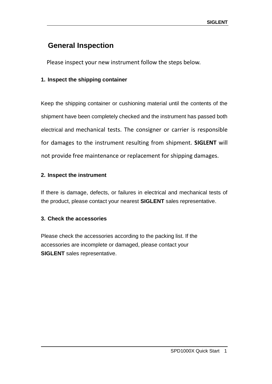### <span id="page-10-0"></span>**General Inspection**

Please inspect your new instrument follow the steps below.

#### **1. Inspect the shipping container**

Keep the shipping container or cushioning material until the contents of the shipment have been completely checked and the instrument has passed both electrical and mechanical tests. The consigner or carrier is responsible for damages to the instrument resulting from shipment. **SIGLENT** will not provide free maintenance or replacement for shipping damages.

#### **2. Inspect the instrument**

If there is damage, defects, or failures in electrical and mechanical tests of the product, please contact your nearest **SIGLENT** sales representative.

#### **3. Check the accessories**

Please check the accessories according to the packing list. If the accessories are incomplete or damaged, please contact your **SIGLENT** sales representative.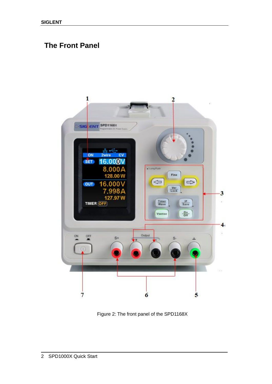### <span id="page-11-0"></span>**The Front Panel**



Figure 2: The front panel of the SPD1168X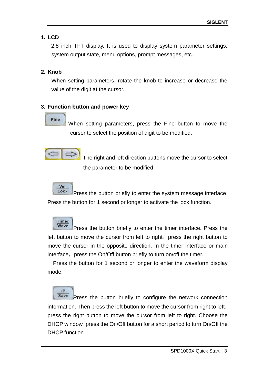#### **1. LCD**

2.8 inch TFT display. It is used to display system parameter settings, system output state, menu options, prompt messages, etc.

#### **2. Knob**

When setting parameters, rotate the knob to increase or decrease the value of the digit at the cursor.

#### **3. Function button and power key**

### Fine

When setting parameters, press the Fine button to move the cursor to select the position of digit to be modified.



The right and left direction buttons move the cursor to select the parameter to be modified.



Press the button briefly to enter the system message interface. Press the button for 1 second or longer to activate the lock function.

Timer Wave Press the button briefly to enter the timer interface. Press the left button to move the cursor from left to right, press the right button to move the cursor in the opposite direction. In the timer interface or main interface, press the On/Off button briefly to turn on/off the timer.

Press the button for 1 second or longer to enter the waveform display mode.

IP Save Press the button briefly to configure the network connection information. Then press the left button to move the cursor from right to left, press the right button to move the cursor from left to right. Choose the DHCP window, press the On/Off button for a short period to turn On/Off the DHCP function..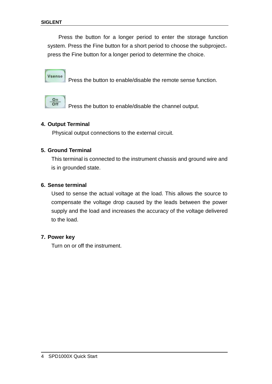Press the button for a longer period to enter the storage function system. Press the Fine button for a short period to choose the subproject, press the Fine button for a longer period to determine the choice.

Vsense

Press the button to enable/disable the remote sense function.



Press the button to enable/disable the channel output.

#### **4. Output Terminal**

Physical output connections to the external circuit.

#### **5. Ground Terminal**

This terminal is connected to the instrument chassis and ground wire and is in grounded state.

#### **6. Sense terminal**

Used to sense the actual voltage at the load. This allows the source to compensate the voltage drop caused by the leads between the power supply and the load and increases the accuracy of the voltage delivered to the load.

#### **7. Power key**

Turn on or off the instrument.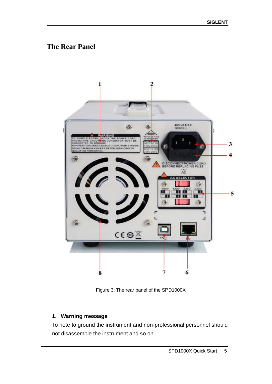### <span id="page-14-0"></span>**The Rear Panel**



Figure 3: The rear panel of the SPD1000X

#### **1. Warning message**

To note to ground the instrument and non-professional personnel should not disassemble the instrument and so on.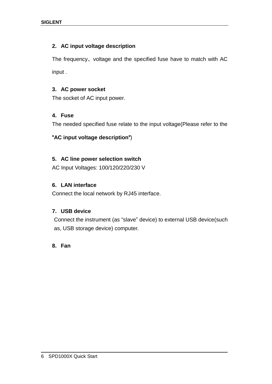#### **2. AC input voltage description**

The frequency、voltage and the specified fuse have to match with AC input .

#### **3. AC power socket**

The socket of AC input power.

#### **4. Fuse**

The needed specified fuse relate to the input voltage(Please refer to the

#### "**AC input voltage description**")

#### **5. AC line power selection switch**

AC Input Voltages: 100/120/220/230 V

#### **6. LAN interface**

Connect the local network by RJ45 interface.

#### **7. USB device**

Connect the instrument (as "slave" device) to external USB device(such as, USB storage device) computer.

#### **8. Fan**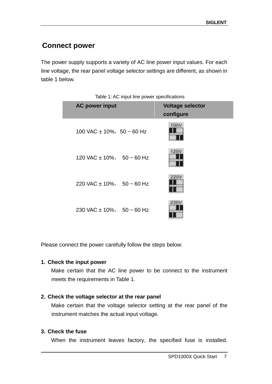### <span id="page-16-0"></span>**Connect power**

The power supply supports a variety of AC line power input values. For each line voltage, the rear panel voltage selector settings are different, as shown in table 1 below.

| Table T. AC lift of the power specifications |                               |  |                                      |
|----------------------------------------------|-------------------------------|--|--------------------------------------|
|                                              | <b>AC power input</b>         |  | <b>Voltage selector</b><br>configure |
|                                              | 100 VAC $\pm$ 10%, 50 ~ 60 Hz |  | 100V                                 |
|                                              | 120 VAC $\pm$ 10%, 50 ~ 60 Hz |  | 120V                                 |
|                                              | 220 VAC $\pm$ 10%, 50 ~ 60 Hz |  | 220V                                 |
|                                              | 230 VAC $\pm$ 10%, 50 ~ 60 Hz |  | 230V                                 |

Table 1: AC input line power specifications

Please connect the power carefully follow the steps below:

#### **1. Check the input power**

Make certain that the AC line power to be connect to the instrument meets the requirements in Table 1.

#### **2. Check the voltage selector at the rear panel**

Make certain that the voltage selector setting at the rear panel of the instrument matches the actual input voltage.

#### **3. Check the fuse**

When the instrument leaves factory, the specified fuse is installed.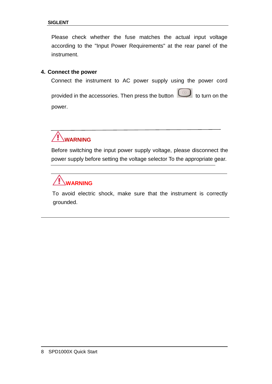Please check whether the fuse matches the actual input voltage according to the "Input Power Requirements" at the rear panel of the instrument.

#### **4. Connect the power**

Connect the instrument to AC power supply using the power cord

provided in the accessories. Then press the button **the state of the turn** on the power.



Before switching the input power supply voltage, please disconnect the power supply before setting the voltage selector To the appropriate gear.



To avoid electric shock, make sure that the instrument is correctly grounded.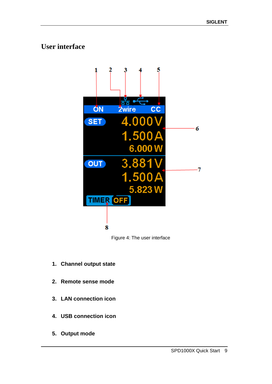### <span id="page-18-0"></span>**User interface**



Figure 4: The user interface

- **1. Channel output state**
- **2. Remote sense mode**
- **3. LAN connection icon**
- **4. USB connection icon**
- **5. Output mode**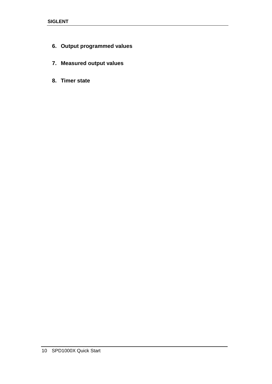- **6. Output programmed values**
- **7. Measured output values**
- **8. Timer state**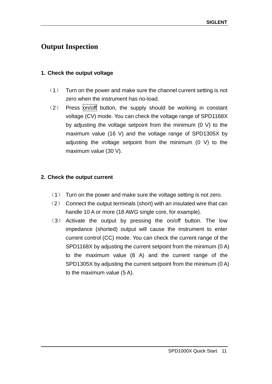### <span id="page-20-0"></span>**Output Inspection**

#### **1. Check the output voltage**

- (1) Turn on the power and make sure the channel current setting is not zero when the instrument has no-load.
- $(2)$  Press on/off button, the supply should be working in constant voltage (CV) mode. You can check the voltage range of SPD1168X by adjusting the voltage setpoint from the minimum (0 V) to the maximum value (16 V) and the voltage range of SPD1305X by adjusting the voltage setpoint from the minimum (0 V) to the maximum value (30 V).

#### **2. Check the output current**

- (1) Turn on the power and make sure the voltage setting is not zero.
- (2) Connect the output terminals (short) with an insulated wire that can handle 10 A or more (18 AWG single core, for example).
- (3) Activate the output by pressing the on/off button. The low impedance (shorted) output will cause the instrument to enter current control (CC) mode. You can check the current range of the SPD1168X by adjusting the current setpoint from the minimum (0 A) to the maximum value (8 A) and the current range of the SPD1305X by adjusting the current setpoint from the minimum (0 A) to the maximum value (5 A).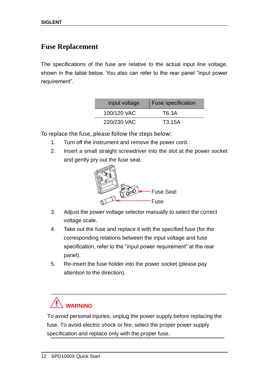### **Fuse Replacement**

The specifications of the fuse are relative to the actual input line voltage, shown in the table below. You also can refer to the rear panel "input power requirement".

| Input voltage | <b>Fuse specification</b> |
|---------------|---------------------------|
| 100/120 VAC   | T6.3A                     |
| 220/230 VAC   | T3.15A                    |

To replace the fuse, please follow the steps below:

- 1. Turn off the instrument and remove the power cord.
- 2. Insert a small straight screwdriver into the slot at the power socket and gently pry out the fuse seat.



- 3. Adjust the power voltage selector manually to select the correct voltage scale.
- 4. Take out the fuse and replace it with the specified fuse (for the corresponding relations between the input voltage and fuse specification, refer to the "input power requirement" at the rear panel).
- 5. Re-insert the fuse holder into the power socket (please pay attention to the direction).

# **WARNING**

To avoid personal injuries, unplug the power supply before replacing the fuse. To avoid electric shock or fire, select the proper power supply specification and replace only with the proper fuse.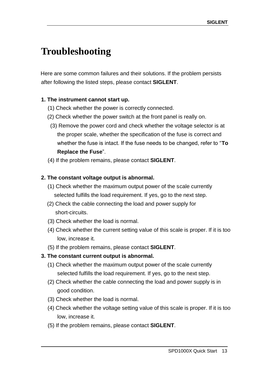# **Troubleshooting**

Here are some common failures and their solutions. If the problem persists after following the listed steps, please contact **SIGLENT**.

#### **1. The instrument cannot start up.**

- (1) Check whether the power is correctly connected.
- (2) Check whether the power switch at the front panel is really on.
- (3) Remove the power cord and check whether the voltage selector is at the proper scale, whether the specification of the fuse is correct and whether the fuse is intact. If the fuse needs to be changed, refer to "**To Replace the Fuse**".
- (4) If the problem remains, please contact **SIGLENT**.

#### **2. The constant voltage output is abnormal.**

- (1) Check whether the maximum output power of the scale currently selected fulfills the load requirement. If yes, go to the next step.
- (2) Check the cable connecting the load and power supply for short-circuits.
- (3) Check whether the load is normal.
- (4) Check whether the current setting value of this scale is proper. If it is too low, increase it.
- (5) If the problem remains, please contact **SIGLENT**.

#### **3. The constant current output is abnormal.**

- (1) Check whether the maximum output power of the scale currently selected fulfills the load requirement. If yes, go to the next step.
- (2) Check whether the cable connecting the load and power supply is in good condition.
- (3) Check whether the load is normal.
- (4) Check whether the voltage setting value of this scale is proper. If it is too low, increase it.
- (5) If the problem remains, please contact **SIGLENT**.